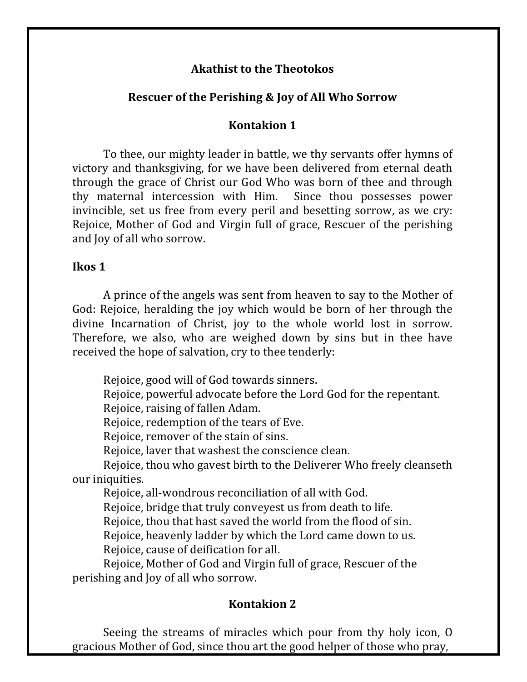### **Akathist to the Theotokos**

# **Rescuer of the Perishing & Joy of All Who Sorrow**

# **Kontakion 1**

To thee, our mighty leader in battle, we thy servants offer hymns of victory and thanksgiving, for we have been delivered from eternal death through the grace of Christ our God Who was born of thee and through thy maternal intercession with Him. Since thou possesses power invincible, set us free from every peril and besetting sorrow, as we cry: Rejoice, Mother of God and Virgin full of grace, Rescuer of the perishing and Joy of all who sorrow.

# **Ikos 1**

A prince of the angels was sent from heaven to say to the Mother of God: Rejoice, heralding the joy which would be born of her through the divine Incarnation of Christ, joy to the whole world lost in sorrow. Therefore, we also, who are weighed down by sins but in thee have received the hope of salvation, cry to thee tenderly:

Rejoice, good will of God towards sinners.

Rejoice, powerful advocate before the Lord God for the repentant.

Rejoice, raising of fallen Adam.

Rejoice, redemption of the tears of Eve.

Rejoice, remover of the stain of sins.

Rejoice, laver that washest the conscience clean.

Rejoice, thou who gavest birth to the Deliverer Who freely cleanseth our iniquities.

Rejoice, all-wondrous reconciliation of all with God.

Rejoice, bridge that truly conveyest us from death to life.

Rejoice, thou that hast saved the world from the flood of sin.

Rejoice, heavenly ladder by which the Lord came down to us.

Rejoice, cause of deification for all.

Rejoice, Mother of God and Virgin full of grace, Rescuer of the perishing and loy of all who sorrow.

# **Kontakion 2**

Seeing the streams of miracles which pour from thy holy icon,  $O$ gracious Mother of God, since thou art the good helper of those who pray,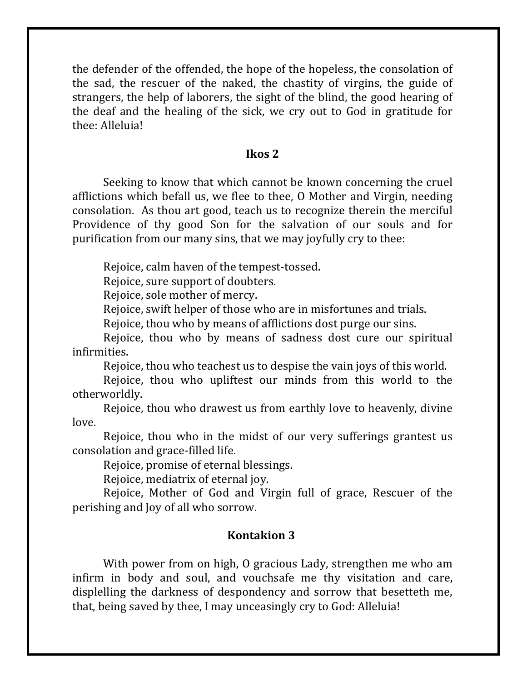the defender of the offended, the hope of the hopeless, the consolation of the sad, the rescuer of the naked, the chastity of virgins, the guide of strangers, the help of laborers, the sight of the blind, the good hearing of the deaf and the healing of the sick, we cry out to God in gratitude for thee: Alleluia!

### **Ikos 2**

Seeking to know that which cannot be known concerning the cruel afflictions which befall us, we flee to thee, O Mother and Virgin, needing consolation. As thou art good, teach us to recognize therein the merciful Providence of thy good Son for the salvation of our souls and for purification from our many sins, that we may joyfully cry to thee:

Rejoice, calm haven of the tempest-tossed.

Rejoice, sure support of doubters.

Rejoice, sole mother of mercy.

Rejoice, swift helper of those who are in misfortunes and trials.

Rejoice, thou who by means of afflictions dost purge our sins.

Rejoice, thou who by means of sadness dost cure our spiritual infirmities.

Rejoice, thou who teachest us to despise the vain joys of this world.

Rejoice, thou who upliftest our minds from this world to the otherworldly.

Rejoice, thou who drawest us from earthly love to heavenly, divine love.

Rejoice, thou who in the midst of our very sufferings grantest us consolation and grace-filled life.

Rejoice, promise of eternal blessings.

Rejoice, mediatrix of eternal joy.

Rejoice, Mother of God and Virgin full of grace, Rescuer of the perishing and loy of all who sorrow.

#### **Kontakion 3**

With power from on high, O gracious Lady, strengthen me who am infirm in body and soul, and vouchsafe me thy visitation and care, displelling the darkness of despondency and sorrow that besetteth me, that, being saved by thee, I may unceasingly cry to God: Alleluia!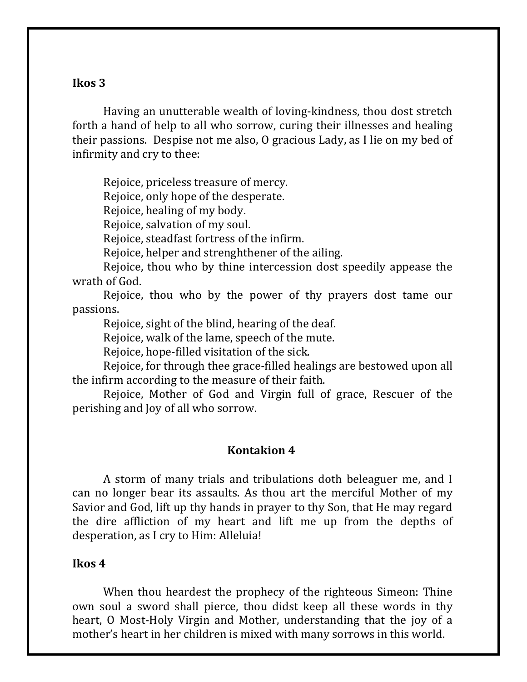### **Ikos 3**

Having an unutterable wealth of loving-kindness, thou dost stretch forth a hand of help to all who sorrow, curing their illnesses and healing their passions. Despise not me also,  $\theta$  gracious Lady, as I lie on my bed of infirmity and cry to thee:

Rejoice, priceless treasure of mercy.

Rejoice, only hope of the desperate.

Rejoice, healing of my body.

Rejoice, salvation of my soul.

Rejoice, steadfast fortress of the infirm.

Rejoice, helper and strenghthener of the ailing.

Rejoice, thou who by thine intercession dost speedily appease the wrath of God.

Rejoice, thou who by the power of thy prayers dost tame our passions.

Rejoice, sight of the blind, hearing of the deaf.

Rejoice, walk of the lame, speech of the mute.

Rejoice, hope-filled visitation of the sick.

Rejoice, for through thee grace-filled healings are bestowed upon all the infirm according to the measure of their faith.

Rejoice, Mother of God and Virgin full of grace, Rescuer of the perishing and Joy of all who sorrow.

#### **Kontakion 4**

A storm of many trials and tribulations doth beleaguer me, and I can no longer bear its assaults. As thou art the merciful Mother of my Savior and God, lift up thy hands in prayer to thy Son, that He may regard the dire affliction of my heart and lift me up from the depths of desperation, as I cry to Him: Alleluia!

#### **Ikos 4**

When thou heardest the prophecy of the righteous Simeon: Thine own soul a sword shall pierce, thou didst keep all these words in thy heart, O Most-Holy Virgin and Mother, understanding that the joy of a mother's heart in her children is mixed with many sorrows in this world.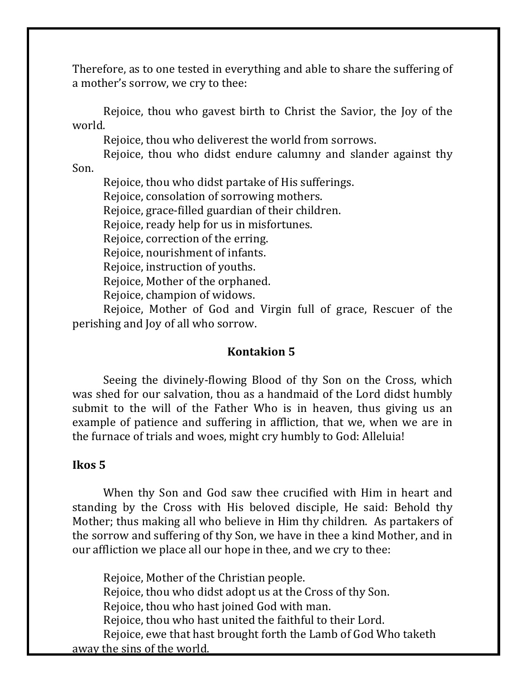Therefore, as to one tested in everything and able to share the suffering of a mother's sorrow, we cry to thee:

Rejoice, thou who gavest birth to Christ the Savior, the Joy of the world.

Rejoice, thou who deliverest the world from sorrows.

Rejoice, thou who didst endure calumny and slander against thy

Son.

Rejoice, thou who didst partake of His sufferings.

Rejoice, consolation of sorrowing mothers.

Rejoice, grace-filled guardian of their children.

Rejoice, ready help for us in misfortunes.

Rejoice, correction of the erring.

Rejoice, nourishment of infants.

Rejoice, instruction of youths.

Rejoice, Mother of the orphaned.

Rejoice, champion of widows.

Rejoice, Mother of God and Virgin full of grace, Rescuer of the perishing and Joy of all who sorrow.

### **Kontakion 5**

Seeing the divinely-flowing Blood of thy Son on the Cross, which was shed for our salvation, thou as a handmaid of the Lord didst humbly submit to the will of the Father Who is in heaven, thus giving us an example of patience and suffering in affliction, that we, when we are in the furnace of trials and woes, might cry humbly to God: Alleluia!

#### **Ikos 5**

When thy Son and God saw thee crucified with Him in heart and standing by the Cross with His beloved disciple, He said: Behold thy Mother; thus making all who believe in Him thy children. As partakers of the sorrow and suffering of thy Son, we have in thee a kind Mother, and in our affliction we place all our hope in thee, and we cry to thee:

Rejoice, Mother of the Christian people. Rejoice, thou who didst adopt us at the Cross of thy Son. Rejoice, thou who hast joined God with man. Rejoice, thou who hast united the faithful to their Lord. Rejoice, ewe that hast brought forth the Lamb of God Who taketh away the sins of the world.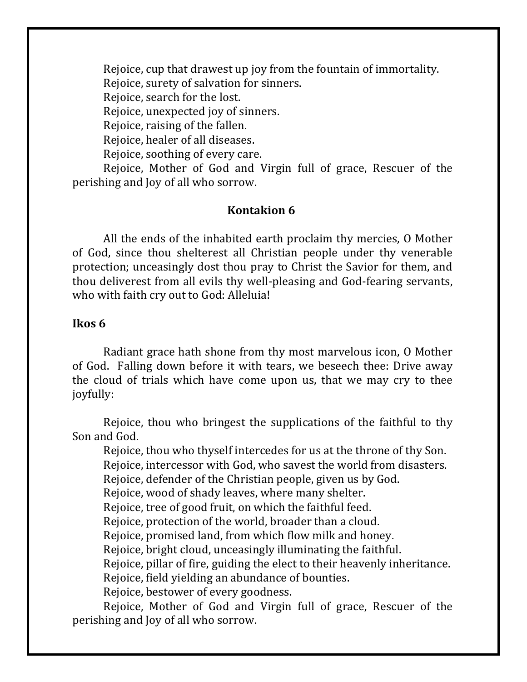Rejoice, cup that drawest up joy from the fountain of immortality.

Rejoice, surety of salvation for sinners.

Rejoice, search for the lost.

Rejoice, unexpected joy of sinners.

Rejoice, raising of the fallen.

Rejoice, healer of all diseases.

Rejoice, soothing of every care.

Rejoice, Mother of God and Virgin full of grace, Rescuer of the perishing and Joy of all who sorrow.

### **Kontakion 6**

All the ends of the inhabited earth proclaim thy mercies, O Mother of God, since thou shelterest all Christian people under thy venerable protection; unceasingly dost thou pray to Christ the Savior for them, and thou deliverest from all evils thy well-pleasing and God-fearing servants, who with faith cry out to God: Alleluia!

### **Ikos 6**

Radiant grace hath shone from thy most marvelous icon, O Mother of God. Falling down before it with tears, we beseech thee: Drive away the cloud of trials which have come upon us, that we may cry to thee joyfully:

Rejoice, thou who bringest the supplications of the faithful to thy Son and God.

Rejoice, thou who thyself intercedes for us at the throne of thy Son. Rejoice, intercessor with God, who savest the world from disasters. Rejoice, defender of the Christian people, given us by God. Rejoice, wood of shady leaves, where many shelter. Rejoice, tree of good fruit, on which the faithful feed. Rejoice, protection of the world, broader than a cloud. Rejoice, promised land, from which flow milk and honey. Rejoice, bright cloud, unceasingly illuminating the faithful. Rejoice, pillar of fire, guiding the elect to their heavenly inheritance. Rejoice, field yielding an abundance of bounties. Rejoice, bestower of every goodness.

Rejoice, Mother of God and Virgin full of grace, Rescuer of the perishing and Joy of all who sorrow.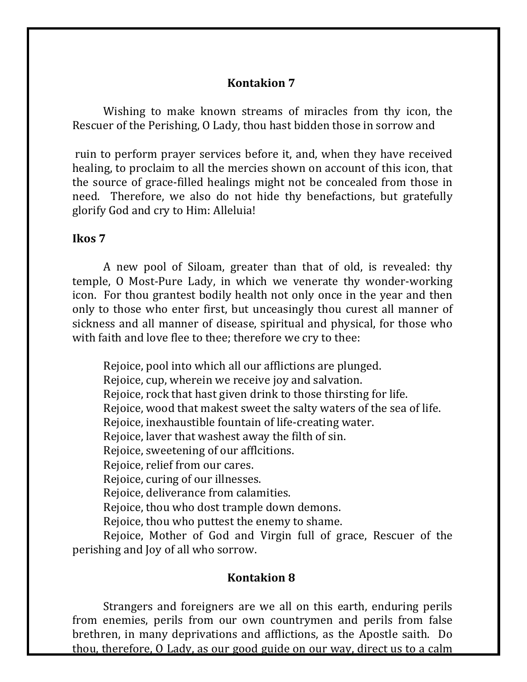### **Kontakion 7**

Wishing to make known streams of miracles from thy icon, the Rescuer of the Perishing, O Lady, thou hast bidden those in sorrow and

ruin to perform prayer services before it, and, when they have received healing, to proclaim to all the mercies shown on account of this icon, that the source of grace-filled healings might not be concealed from those in need. Therefore, we also do not hide thy benefactions, but gratefully glorify God and cry to Him: Alleluia!

### **Ikos 7**

A new pool of Siloam, greater than that of old, is revealed: thy temple, O Most-Pure Lady, in which we venerate thy wonder-working icon. For thou grantest bodily health not only once in the year and then only to those who enter first, but unceasingly thou curest all manner of sickness and all manner of disease, spiritual and physical, for those who with faith and love flee to thee; therefore we cry to thee:

Rejoice, pool into which all our afflictions are plunged.

Rejoice, cup, wherein we receive joy and salvation.

Rejoice, rock that hast given drink to those thirsting for life.

Rejoice, wood that makest sweet the salty waters of the sea of life.

Rejoice, inexhaustible fountain of life-creating water.

Rejoice, laver that washest away the filth of sin.

Rejoice, sweetening of our afflcitions.

Rejoice, relief from our cares.

Rejoice, curing of our illnesses.

Rejoice, deliverance from calamities.

Rejoice, thou who dost trample down demons.

Rejoice, thou who puttest the enemy to shame.

Rejoice, Mother of God and Virgin full of grace, Rescuer of the perishing and Joy of all who sorrow.

# **Kontakion 8**

Strangers and foreigners are we all on this earth, enduring perils from enemies, perils from our own countrymen and perils from false brethren, in many deprivations and afflictions, as the Apostle saith. Do thou, therefore, O Lady, as our good guide on our way, direct us to a calm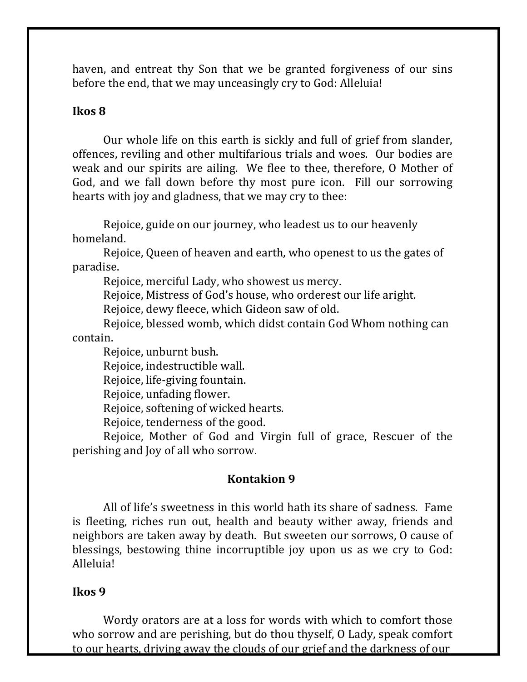haven, and entreat thy Son that we be granted forgiveness of our sins before the end, that we may unceasingly cry to God: Alleluia!

### **Ikos 8**

Our whole life on this earth is sickly and full of grief from slander, offences, reviling and other multifarious trials and woes. Our bodies are weak and our spirits are ailing. We flee to thee, therefore, O Mother of God, and we fall down before thy most pure icon. Fill our sorrowing hearts with joy and gladness, that we may cry to thee:

Rejoice, guide on our journey, who leadest us to our heavenly homeland.

Rejoice, Queen of heaven and earth, who openest to us the gates of paradise.

Rejoice, merciful Lady, who showest us mercy.

Rejoice, Mistress of God's house, who orderest our life aright.

Rejoice, dewy fleece, which Gideon saw of old.

Rejoice, blessed womb, which didst contain God Whom nothing can contain.

Rejoice, unburnt bush.

Rejoice, indestructible wall.

Rejoice, life-giving fountain.

Rejoice, unfading flower.

Rejoice, softening of wicked hearts.

Rejoice, tenderness of the good.

Rejoice, Mother of God and Virgin full of grace, Rescuer of the perishing and loy of all who sorrow.

# **Kontakion 9**

All of life's sweetness in this world hath its share of sadness. Fame is fleeting, riches run out, health and beauty wither away, friends and neighbors are taken away by death. But sweeten our sorrows, O cause of blessings, bestowing thine incorruptible joy upon us as we cry to God: Alleluia!

### **Ikos 9**

Wordy orators are at a loss for words with which to comfort those who sorrow and are perishing, but do thou thyself, O Lady, speak comfort to our hearts, driving away the clouds of our grief and the darkness of our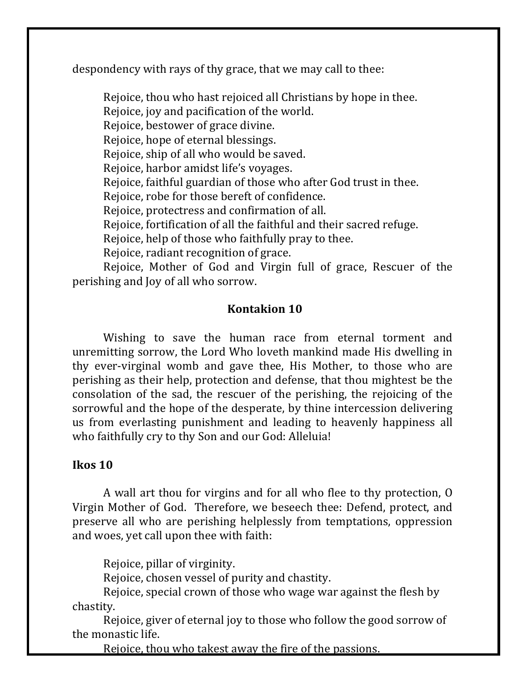despondency with rays of thy grace, that we may call to thee:

Rejoice, thou who hast rejoiced all Christians by hope in thee. Rejoice, joy and pacification of the world. Rejoice, bestower of grace divine. Rejoice, hope of eternal blessings. Rejoice, ship of all who would be saved. Rejoice, harbor amidst life's voyages. Rejoice, faithful guardian of those who after God trust in thee. Rejoice, robe for those bereft of confidence. Rejoice, protectress and confirmation of all. Rejoice, fortification of all the faithful and their sacred refuge. Rejoice, help of those who faithfully pray to thee. Rejoice, radiant recognition of grace. Rejoice, Mother of God and Virgin full of grace, Rescuer of the

perishing and Joy of all who sorrow.

# **Kontakion 10**

Wishing to save the human race from eternal torment and unremitting sorrow, the Lord Who loveth mankind made His dwelling in thy ever-virginal womb and gave thee, His Mother, to those who are perishing as their help, protection and defense, that thou mightest be the consolation of the sad, the rescuer of the perishing, the rejoicing of the sorrowful and the hope of the desperate, by thine intercession delivering us from everlasting punishment and leading to heavenly happiness all who faithfully cry to thy Son and our God: Alleluia!

#### **Ikos 10**

A wall art thou for virgins and for all who flee to thy protection, O Virgin Mother of God. Therefore, we beseech thee: Defend, protect, and preserve all who are perishing helplessly from temptations, oppression and woes, yet call upon thee with faith:

Rejoice, pillar of virginity.

Rejoice, chosen vessel of purity and chastity.

Rejoice, special crown of those who wage war against the flesh by chastity.

Rejoice, giver of eternal joy to those who follow the good sorrow of the monastic life.

Rejoice, thou who takest away the fire of the passions.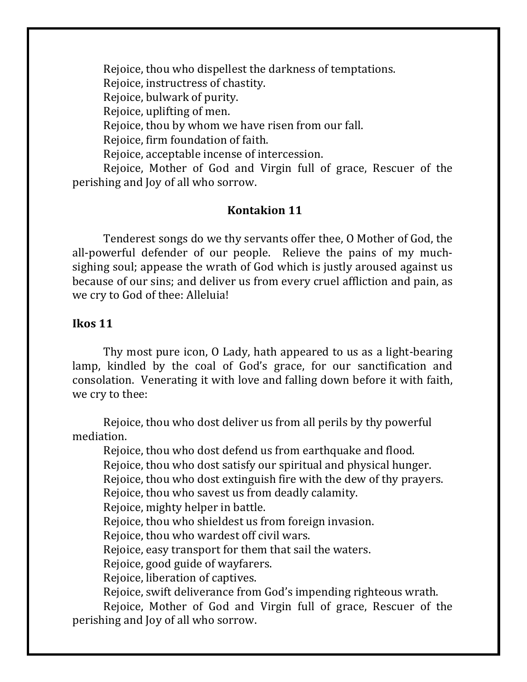Rejoice, thou who dispellest the darkness of temptations. Rejoice, instructress of chastity. Rejoice, bulwark of purity. Rejoice, uplifting of men. Rejoice, thou by whom we have risen from our fall. Rejoice, firm foundation of faith. Rejoice, acceptable incense of intercession.

Rejoice, Mother of God and Virgin full of grace, Rescuer of the perishing and Joy of all who sorrow.

### **Kontakion 11**

Tenderest songs do we thy servants offer thee, O Mother of God, the all-powerful defender of our people. Relieve the pains of my muchsighing soul; appease the wrath of God which is justly aroused against us because of our sins; and deliver us from every cruel affliction and pain, as we cry to God of thee: Alleluia!

### **Ikos 11**

Thy most pure icon, O Lady, hath appeared to us as a light-bearing lamp, kindled by the coal of God's grace, for our sanctification and consolation. Venerating it with love and falling down before it with faith, we cry to thee:

Rejoice, thou who dost deliver us from all perils by thy powerful mediation.

Rejoice, thou who dost defend us from earthquake and flood.

Rejoice, thou who dost satisfy our spiritual and physical hunger.

Rejoice, thou who dost extinguish fire with the dew of thy prayers.

Rejoice, thou who savest us from deadly calamity.

Rejoice, mighty helper in battle.

Rejoice, thou who shieldest us from foreign invasion.

Rejoice, thou who wardest off civil wars.

Rejoice, easy transport for them that sail the waters.

Rejoice, good guide of wayfarers.

Rejoice, liberation of captives.

Rejoice, swift deliverance from God's impending righteous wrath.

Rejoice, Mother of God and Virgin full of grace, Rescuer of the perishing and Joy of all who sorrow.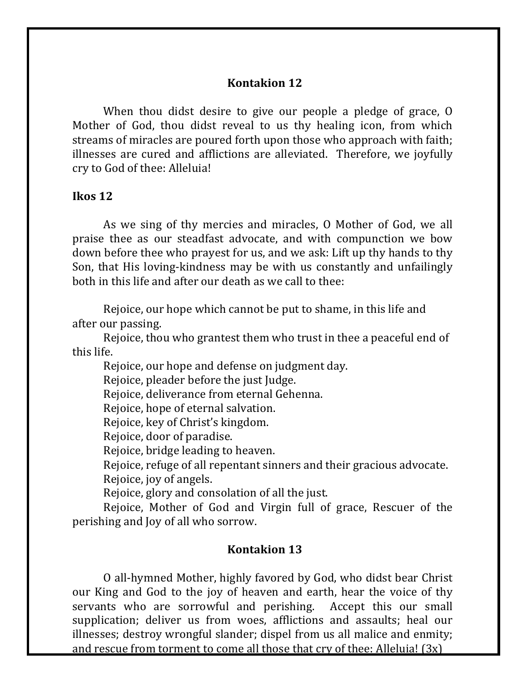### **Kontakion 12**

When thou didst desire to give our people a pledge of grace,  $0$ Mother of God, thou didst reveal to us thy healing icon, from which streams of miracles are poured forth upon those who approach with faith; illnesses are cured and afflictions are alleviated. Therefore, we joyfully cry to God of thee: Alleluia!

#### **Ikos 12**

As we sing of thy mercies and miracles, O Mother of God, we all praise thee as our steadfast advocate, and with compunction we bow down before thee who prayest for us, and we ask: Lift up thy hands to thy Son, that His loving-kindness may be with us constantly and unfailingly both in this life and after our death as we call to thee:

Rejoice, our hope which cannot be put to shame, in this life and after our passing.

Rejoice, thou who grantest them who trust in thee a peaceful end of this life.

Rejoice, our hope and defense on judgment day.

Rejoice, pleader before the just Judge.

Rejoice, deliverance from eternal Gehenna.

Rejoice, hope of eternal salvation.

Rejoice, key of Christ's kingdom.

Rejoice, door of paradise.

Rejoice, bridge leading to heaven.

Rejoice, refuge of all repentant sinners and their gracious advocate. Rejoice, joy of angels.

Rejoice, glory and consolation of all the just.

Rejoice, Mother of God and Virgin full of grace, Rescuer of the perishing and loy of all who sorrow.

#### **Kontakion 13**

O all-hymned Mother, highly favored by God, who didst bear Christ our King and God to the joy of heaven and earth, hear the voice of thy servants who are sorrowful and perishing. Accept this our small supplication; deliver us from woes, afflictions and assaults; heal our illnesses; destroy wrongful slander; dispel from us all malice and enmity; and rescue from torment to come all those that  $\text{cry}$  of thee: Alleluia!  $(3x)$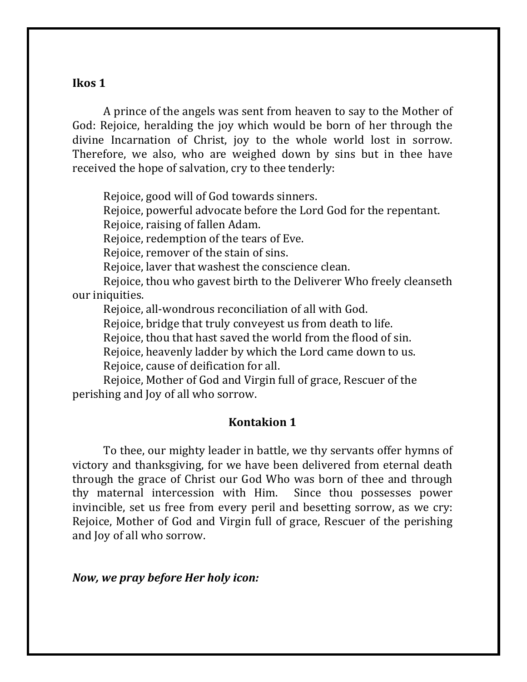#### **Ikos 1**

A prince of the angels was sent from heaven to say to the Mother of God: Rejoice, heralding the joy which would be born of her through the divine Incarnation of Christ, joy to the whole world lost in sorrow. Therefore, we also, who are weighed down by sins but in thee have received the hope of salvation, cry to thee tenderly:

Rejoice, good will of God towards sinners.

Rejoice, powerful advocate before the Lord God for the repentant.

Rejoice, raising of fallen Adam.

Rejoice, redemption of the tears of Eve.

Rejoice, remover of the stain of sins.

Rejoice, laver that washest the conscience clean.

Rejoice, thou who gavest birth to the Deliverer Who freely cleanseth our iniquities.

Rejoice, all-wondrous reconciliation of all with God.

Rejoice, bridge that truly conveyest us from death to life.

Rejoice, thou that hast saved the world from the flood of sin.

Rejoice, heavenly ladder by which the Lord came down to us.

Rejoice, cause of deification for all.

Rejoice, Mother of God and Virgin full of grace, Rescuer of the perishing and loy of all who sorrow.

### **Kontakion 1**

To thee, our mighty leader in battle, we thy servants offer hymns of victory and thanksgiving, for we have been delivered from eternal death through the grace of Christ our God Who was born of thee and through thy maternal intercession with Him. Since thou possesses power invincible, set us free from every peril and besetting sorrow, as we cry: Rejoice, Mother of God and Virgin full of grace, Rescuer of the perishing and loy of all who sorrow.

*Now, we pray before Her holy icon:*